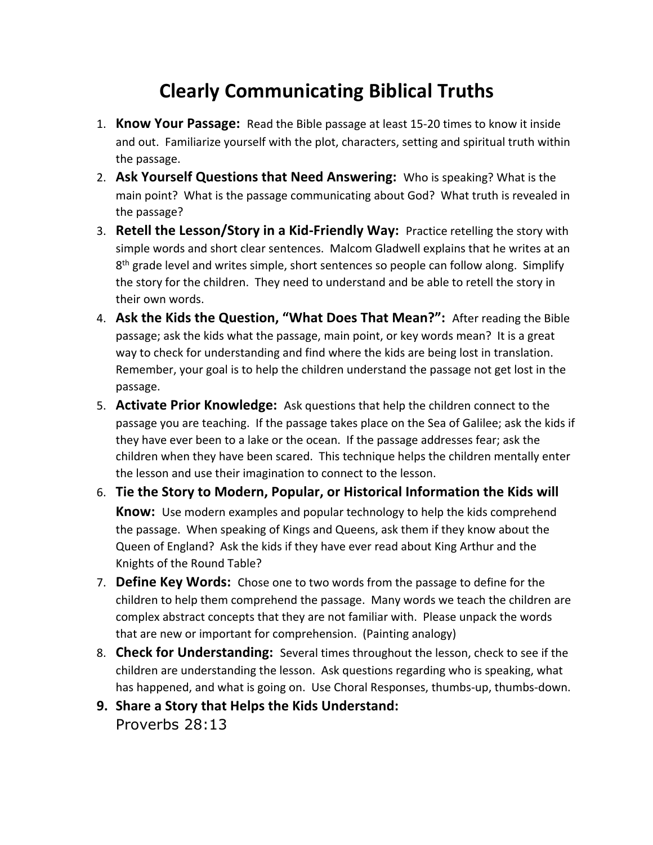## **Clearly Communicating Biblical Truths**

- 1. **Know Your Passage:** Read the Bible passage at least 15-20 times to know it inside and out. Familiarize yourself with the plot, characters, setting and spiritual truth within the passage.
- 2. **Ask Yourself Questions that Need Answering:** Who is speaking? What is the main point? What is the passage communicating about God? What truth is revealed in the passage?
- 3. **Retell the Lesson/Story in a Kid-Friendly Way:** Practice retelling the story with simple words and short clear sentences. Malcom Gladwell explains that he writes at an  $8<sup>th</sup>$  grade level and writes simple, short sentences so people can follow along. Simplify the story for the children. They need to understand and be able to retell the story in their own words.
- 4. **Ask the Kids the Question, "What Does That Mean?":** After reading the Bible passage; ask the kids what the passage, main point, or key words mean? It is a great way to check for understanding and find where the kids are being lost in translation. Remember, your goal is to help the children understand the passage not get lost in the passage.
- 5. **Activate Prior Knowledge:** Ask questions that help the children connect to the passage you are teaching. If the passage takes place on the Sea of Galilee; ask the kids if they have ever been to a lake or the ocean. If the passage addresses fear; ask the children when they have been scared. This technique helps the children mentally enter the lesson and use their imagination to connect to the lesson.
- 6. **Tie the Story to Modern, Popular, or Historical Information the Kids will Know:** Use modern examples and popular technology to help the kids comprehend the passage. When speaking of Kings and Queens, ask them if they know about the Queen of England? Ask the kids if they have ever read about King Arthur and the Knights of the Round Table?
- 7. **Define Key Words:** Chose one to two words from the passage to define for the children to help them comprehend the passage. Many words we teach the children are complex abstract concepts that they are not familiar with. Please unpack the words that are new or important for comprehension. (Painting analogy)
- 8. **Check for Understanding:** Several times throughout the lesson, check to see if the children are understanding the lesson. Ask questions regarding who is speaking, what has happened, and what is going on. Use Choral Responses, thumbs-up, thumbs-down.
- **9. Share a Story that Helps the Kids Understand:** Proverbs 28:13